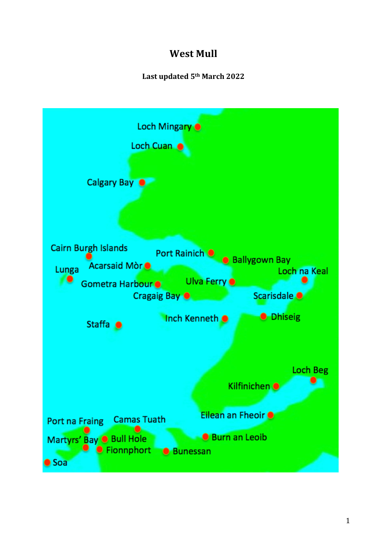# **West Mull**

# **Last updated 5th March 2022**

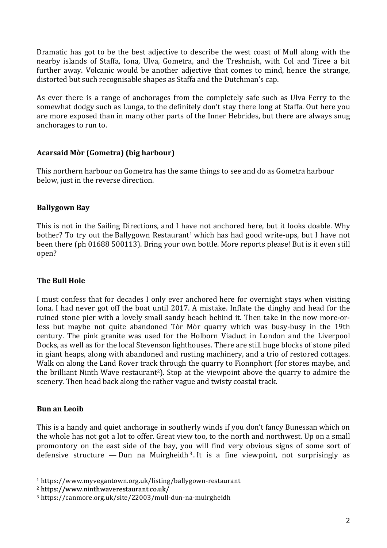Dramatic has got to be the best adjective to describe the west coast of Mull along with the nearby islands of Staffa, Iona, Ulva, Gometra, and the Treshnish, with Col and Tiree a bit further away. Volcanic would be another adjective that comes to mind, hence the strange, distorted but such recognisable shapes as Staffa and the Dutchman's cap.

As ever there is a range of anchorages from the completely safe such as Ulva Ferry to the somewhat dodgy such as Lunga, to the definitely don't stay there long at Staffa. Out here you are more exposed than in many other parts of the Inner Hebrides, but there are always snug anchorages to run to.

# **Acarsaid Mòr (Gometra) (big harbour)**

This northern harbour on Gometra has the same things to see and do as Gometra harbour below, just in the reverse direction.

# **Ballygown Bay**

This is not in the Sailing Directions, and I have not anchored here, but it looks doable. Why bother? To try out the Ballygown Restaurant<sup>1</sup> which has had good write-ups, but I have not been there (ph 01688 500113). Bring your own bottle. More reports please! But is it even still open?

# **The Bull Hole**

I must confess that for decades I only ever anchored here for overnight stays when visiting Iona. I had never got off the boat until 2017. A mistake. Inflate the dinghy and head for the ruined stone pier with a lovely small sandy beach behind it. Then take in the now more-orless but maybe not quite abandoned Tòr Mòr quarry which was busy-busy in the 19th century. The pink granite was used for the Holborn Viaduct in London and the Liverpool Docks, as well as for the local Stevenson lighthouses. There are still huge blocks of stone piled in giant heaps, along with abandoned and rusting machinery, and a trio of restored cottages. Walk on along the Land Rover track through the quarry to Fionnphort (for stores maybe, and the brilliant Ninth Wave restaurant<sup>2</sup>). Stop at the viewpoint above the quarry to admire the scenery. Then head back along the rather vague and twisty coastal track.

# **Bun an Leoib**

This is a handy and quiet anchorage in southerly winds if you don't fancy Bunessan which on the whole has not got a lot to offer. Great view too, to the north and northwest. Up on a small promontory on the east side of the bay, you will find very obvious signs of some sort of defensive structure — Dun na Muirgheidh<sup>3</sup>. It is a fine viewpoint, not surprisingly as

<sup>2</sup> https://www.ninthwaverestaurant.co.uk/

<sup>1</sup> https://www.myvegantown.org.uk/listing/ballygown-restaurant

<sup>3</sup> https://canmore.org.uk/site/22003/mull-dun-na-muirgheidh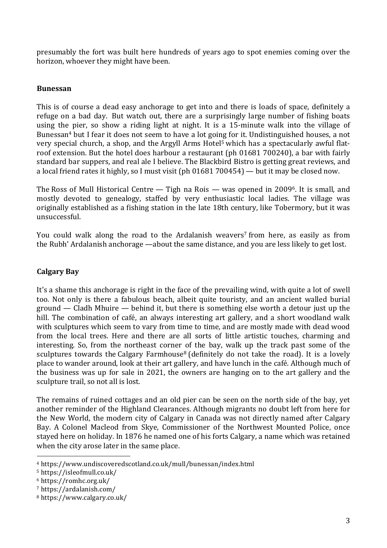presumably the fort was built here hundreds of years ago to spot enemies coming over the horizon, whoever they might have been.

#### **Bunessan**

This is of course a dead easy anchorage to get into and there is loads of space, definitely a refuge on a bad day. But watch out, there are a surprisingly large number of fishing boats using the pier, so show a riding light at night. It is a 15-minute walk into the village of Bunessan4 but I fear it does not seem to have a lot going for it. Undistinguished houses, a not very special church, a shop, and the Argyll Arms Hotel<sup>5</sup> which has a spectacularly awful flatroof extension. But the hotel does harbour a restaurant (ph 01681 700240), a bar with fairly standard bar suppers, and real ale I believe. The Blackbird Bistro is getting great reviews, and a local friend rates it highly, so I must visit (ph 01681 700454) — but it may be closed now.

The Ross of Mull Historical Centre — Tigh na Rois — was opened in 20096. It is small, and mostly devoted to genealogy, staffed by very enthusiastic local ladies. The village was originally established as a fishing station in the late 18th century, like Tobermory, but it was unsuccessful.

You could walk along the road to the Ardalanish weavers<sup>7</sup> from here, as easily as from the Rubh' Ardalanish anchorage —about the same distance, and you are less likely to get lost.

#### **Calgary Bay**

It's a shame this anchorage is right in the face of the prevailing wind, with quite a lot of swell too. Not only is there a fabulous beach, albeit quite touristy, and an ancient walled burial ground — Cladh Mhuire — behind it, but there is something else worth a detour just up the hill. The combination of café, an always interesting art gallery, and a short woodland walk with sculptures which seem to vary from time to time, and are mostly made with dead wood from the local trees. Here and there are all sorts of little artistic touches, charming and interesting. So, from the northeast corner of the bay, walk up the track past some of the sculptures towards the Calgary Farmhouse<sup>8</sup> (definitely do not take the road). It is a lovely place to wander around, look at their art gallery, and have lunch in the café. Although much of the business was up for sale in 2021, the owners are hanging on to the art gallery and the sculpture trail, so not all is lost.

The remains of ruined cottages and an old pier can be seen on the north side of the bay, yet another reminder of the Highland Clearances. Although migrants no doubt left from here for the New World, the modern city of Calgary in Canada was not directly named after Calgary Bay. A Colonel Macleod from Skye, Commissioner of the Northwest Mounted Police, once stayed here on holiday. In 1876 he named one of his forts Calgary, a name which was retained when the city arose later in the same place.

<sup>4</sup> https://www.undiscoveredscotland.co.uk/mull/bunessan/index.html

<sup>5</sup> https://isleofmull.co.uk/

<sup>6</sup> https://romhc.org.uk/

<sup>7</sup> https://ardalanish.com/

<sup>8</sup> https://www.calgary.co.uk/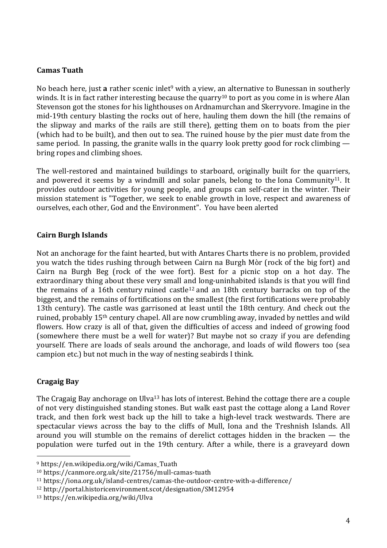#### **Camas Tuath**

No beach here, just **a** rather scenic inlet<sup>9</sup> with a view, an alternative to Bunessan in southerly winds. It is in fact rather interesting because the quarry<sup>10</sup> to port as you come in is where Alan Stevenson got the stones for his lighthouses on Ardnamurchan and Skerryvore. Imagine in the mid-19th century blasting the rocks out of here, hauling them down the hill (the remains of the slipway and marks of the rails are still there), getting them on to boats from the pier (which had to be built), and then out to sea. The ruined house by the pier must date from the same period. In passing, the granite walls in the quarry look pretty good for rock climbing bring ropes and climbing shoes.

The well-restored and maintained buildings to starboard, originally built for the quarriers, and powered it seems by a windmill and solar panels, belong to the Iona Community<sup>11</sup>. It provides outdoor activities for young people, and groups can self-cater in the winter. Their mission statement is "Together, we seek to enable growth in love, respect and awareness of ourselves, each other, God and the Environment". You have been alerted

#### **Cairn Burgh Islands**

Not an anchorage for the faint hearted, but with Antares Charts there is no problem, provided you watch the tides rushing through between Cairn na Burgh Mòr (rock of the big fort) and Cairn na Burgh Beg (rock of the wee fort). Best for a picnic stop on a hot day. The extraordinary thing about these very small and long-uninhabited islands is that you will find the remains of a 16th century ruined castle<sup>12</sup> and an 18th century barracks on top of the biggest, and the remains of fortifications on the smallest (the first fortifications were probably 13th century). The castle was garrisoned at least until the 18th century. And check out the ruined, probably 15th century chapel. All are now crumbling away, invaded by nettles and wild flowers. How crazy is all of that, given the difficulties of access and indeed of growing food (somewhere there must be a well for water)? But maybe not so crazy if you are defending yourself. There are loads of seals around the anchorage, and loads of wild flowers too (sea campion etc.) but not much in the way of nesting seabirds I think.

#### **Cragaig Bay**

The Cragaig Bay anchorage on Ulva<sup>13</sup> has lots of interest. Behind the cottage there are a couple of not very distinguished standing stones. But walk east past the cottage along a Land Rover track, and then fork west back up the hill to take a high-level track westwards. There are spectacular views across the bay to the cliffs of Mull, Iona and the Treshnish Islands. All around you will stumble on the remains of derelict cottages hidden in the bracken — the population were turfed out in the 19th century. After a while, there is a graveyard down

<sup>9</sup> https://en.wikipedia.org/wiki/Camas\_Tuath

<sup>10</sup> https://canmore.org.uk/site/21756/mull-camas-tuath

<sup>11</sup> https://iona.org.uk/island-centres/camas-the-outdoor-centre-with-a-difference/

<sup>12</sup> http://portal.historicenvironment.scot/designation/SM12954

<sup>13</sup> https://en.wikipedia.org/wiki/Ulva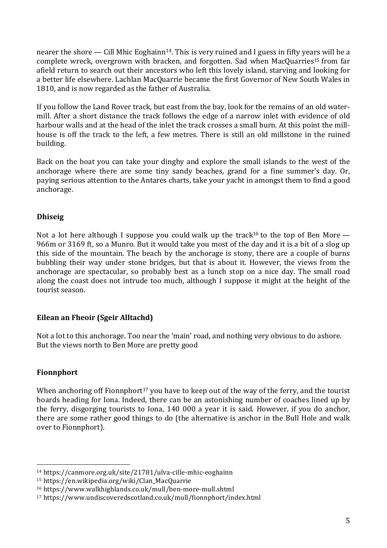nearer the shore — Cill Mhic Eoghainn<sup>14</sup>. This is very ruined and I guess in fifty years will be a complete wreck, overgrown with bracken, and forgotten. Sad when MacQuarries15 from far afield return to search out their ancestors who left this lovely island, starving and looking for a better life elsewhere. Lachlan MacQuarrie became the first Governor of New South Wales in 1810, and is now regarded as the father of Australia.

If you follow the Land Rover track, but east from the bay, look for the remains of an old watermill. After a short distance the track follows the edge of a narrow inlet with evidence of old harbour walls and at the head of the inlet the track crosses a small burn. At this point the millhouse is off the track to the left, a few metres. There is still an old millstone in the ruined building.

Back on the boat you can take your dinghy and explore the small islands to the west of the anchorage where there are some tiny sandy beaches, grand for a fine summer's day. Or, paying serious attention to the Antares charts, take your yacht in amongst them to find a good anchorage.

# **Dhiseig**

Not a lot here although I suppose you could walk up the track<sup>16</sup> to the top of Ben More — 966m or 3169 ft, so a Munro. But it would take you most of the day and it is a bit of a slog up this side of the mountain. The beach by the anchorage is stony, there are a couple of burns bubbling their way under stone bridges, but that is about it. However, the views from the anchorage are spectacular, so probably best as a lunch stop on a nice day. The small road along the coast does not intrude too much, although I suppose it might at the height of the tourist season.

# **Eilean an Fheoir (Sgeir Alltachd)**

Not a lot to this anchorage. Too near the 'main' road, and nothing very obvious to do ashore. But the views north to Ben More are pretty good

# **Fionnphort**

When anchoring off Fionnphort<sup>17</sup> you have to keep out of the way of the ferry, and the tourist hoards heading for Iona. Indeed, there can be an astonishing number of coaches lined up by the ferry, disgorging tourists to Iona, 140 000 a year it is said. However, if you do anchor, there are some rather good things to do (the alternative is anchor in the Bull Hole and walk over to Fionnphort).

<sup>14</sup> https://canmore.org.uk/site/21781/ulva-cille-mhic-eoghainn

<sup>15</sup> https://en.wikipedia.org/wiki/Clan\_MacQuarrie

<sup>16</sup> https://www.walkhighlands.co.uk/mull/ben-more-mull.shtml

<sup>17</sup> https://www.undiscoveredscotland.co.uk/mull/fionnphort/index.html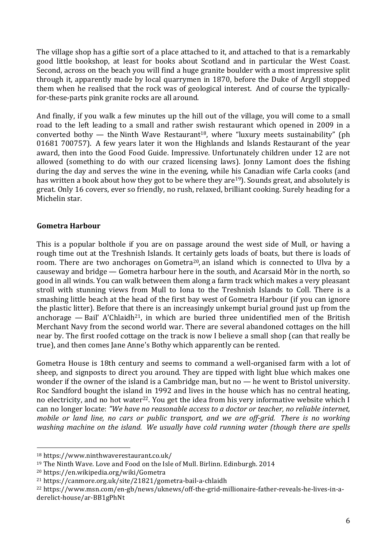The village shop has a giftie sort of a place attached to it, and attached to that is a remarkably good little bookshop, at least for books about Scotland and in particular the West Coast. Second, across on the beach you will find a huge granite boulder with a most impressive split through it, apparently made by local quarrymen in 1870, before the Duke of Argyll stopped them when he realised that the rock was of geological interest. And of course the typicallyfor-these-parts pink granite rocks are all around.

And finally, if you walk a few minutes up the hill out of the village, you will come to a small road to the left leading to a small and rather swish restaurant which opened in 2009 in a converted bothy — the Ninth Wave Restaurant<sup>18</sup>, where "luxury meets sustainability" (ph 01681 700757). A few years later it won the Highlands and Islands Restaurant of the year award, then into the Good Food Guide. Impressive. Unfortunately children under 12 are not allowed (something to do with our crazed licensing laws). Jonny Lamont does the fishing during the day and serves the wine in the evening, while his Canadian wife Carla cooks (and has written a book about how they got to be where they are<sup>19</sup>). Sounds great, and absolutely is great. Only 16 covers, ever so friendly, no rush, relaxed, brilliant cooking. Surely heading for a Michelin star.

#### **Gometra Harbour**

This is a popular bolthole if you are on passage around the west side of Mull, or having a rough time out at the Treshnish Islands. It certainly gets loads of boats, but there is loads of room. There are two anchorages on Gometra<sup>20</sup>, an island which is connected to Ulva by a causeway and bridge — Gometra harbour here in the south, and Acarsaid Mòr in the north, so good in all winds. You can walk between them along a farm track which makes a very pleasant stroll with stunning views from Mull to Iona to the Treshnish Islands to Coll. There is a smashing little beach at the head of the first bay west of Gometra Harbour (if you can ignore the plastic litter). Before that there is an increasingly unkempt burial ground just up from the anchorage — Bail' A'Chlaidh<sup>21</sup>, in which are buried three unidentified men of the British Merchant Navy from the second world war. There are several abandoned cottages on the hill near by. The first roofed cottage on the track is now I believe a small shop (can that really be true), and then comes Jane Anne's Bothy which apparently can be rented.

Gometra House is 18th century and seems to command a well-organised farm with a lot of sheep, and signposts to direct you around. They are tipped with light blue which makes one wonder if the owner of the island is a Cambridge man, but no — he went to Bristol university. Roc Sandford bought the island in 1992 and lives in the house which has no central heating, no electricity, and no hot water<sup>22</sup>. You get the idea from his very informative website which I can no longer locate: *"We have no reasonable access to a doctor or teacher, no reliable internet, mobile or land line, no cars or public transport, and we are off-grid. There is no working washing machine on the island. We usually have cold running water (though there are spells*

<sup>18</sup> https://www.ninthwaverestaurant.co.uk/

<sup>&</sup>lt;sup>19</sup> The Ninth Wave. Love and Food on the Isle of Mull. Birlinn. Edinburgh. 2014

<sup>20</sup> https://en.wikipedia.org/wiki/Gometra

<sup>21</sup> https://canmore.org.uk/site/21821/gometra-bail-a-chlaidh

<sup>22</sup> https://www.msn.com/en-gb/news/uknews/off-the-grid-millionaire-father-reveals-he-lives-in-aderelict-house/ar-BB1gPhNt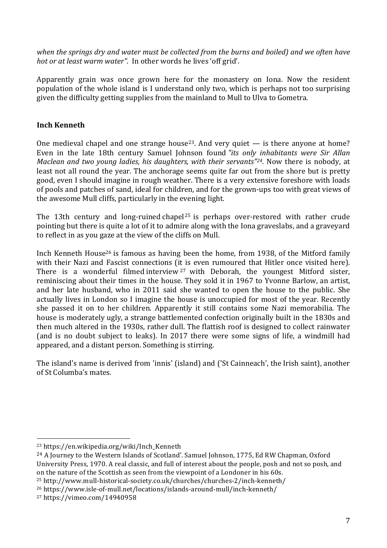*when the springs dry and water must be collected from the burns and boiled) and we often have hot or at least warm water"*. In other words he lives 'off grid'.

Apparently grain was once grown here for the monastery on Iona. Now the resident population of the whole island is I understand only two, which is perhaps not too surprising given the difficulty getting supplies from the mainland to Mull to Ulva to Gometra.

#### **Inch Kenneth**

One medieval chapel and one strange house<sup>23</sup>. And very quiet  $-$  is there anyone at home? Even in the late 18th century Samuel Johnson found *"its only inhabitants were Sir Allan Maclean and two young ladies, his daughters, with their servants"24*. Now there is nobody, at least not all round the year. The anchorage seems quite far out from the shore but is pretty good, even I should imagine in rough weather. There is a very extensive foreshore with loads of pools and patches of sand, ideal for children, and for the grown-ups too with great views of the awesome Mull cliffs, particularly in the evening light.

The 13th century and long-ruined chapel<sup>25</sup> is perhaps over-restored with rather crude pointing but there is quite a lot of it to admire along with the Iona graveslabs, and a graveyard to reflect in as you gaze at the view of the cliffs on Mull.

Inch Kenneth House<sup>26</sup> is famous as having been the home, from 1938, of the Mitford family with their Nazi and Fascist connections (it is even rumoured that Hitler once visited here). There is a wonderful filmed interview <sup>27</sup> with Deborah, the youngest Mitford sister, reminiscing about their times in the house. They sold it in 1967 to Yvonne Barlow, an artist, and her late husband, who in 2011 said she wanted to open the house to the public. She actually lives in London so I imagine the house is unoccupied for most of the year. Recently she passed it on to her children. Apparently it still contains some Nazi memorabilia. The house is moderately ugly, a strange battlemented confection originally built in the 1830s and then much altered in the 1930s, rather dull. The flattish roof is designed to collect rainwater (and is no doubt subject to leaks). In 2017 there were some signs of life, a windmill had appeared, and a distant person. Something is stirring.

The island's name is derived from 'innis' (island) and ('St Cainneach', the Irish saint), another of St Columba's mates.

<sup>23</sup> https://en.wikipedia.org/wiki/Inch\_Kenneth

<sup>24</sup> A Journey to the Western Islands of Scotland'. Samuel Johnson, 1775, Ed RW Chapman, Oxford University Press, 1970. A real classic, and full of interest about the people, posh and not so posh, and on the nature of the Scottish as seen from the viewpoint of a Londoner in his 60s.

<sup>25</sup> http://www.mull-historical-society.co.uk/churches/churches-2/inch-kenneth/

<sup>26</sup> https://www.isle-of-mull.net/locations/islands-around-mull/inch-kenneth/

<sup>27</sup> https://vimeo.com/14940958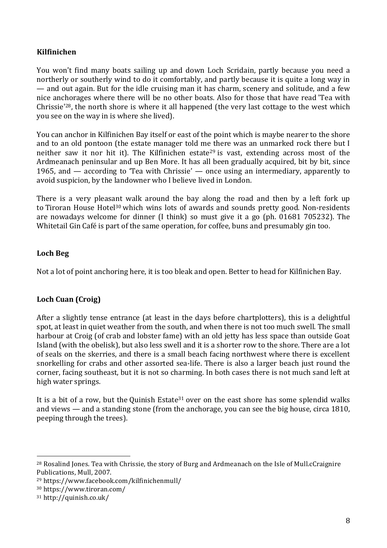# **Kilfinichen**

You won't find many boats sailing up and down Loch Scridain, partly because you need a northerly or southerly wind to do it comfortably, and partly because it is quite a long way in — and out again. But for the idle cruising man it has charm, scenery and solitude, and a few nice anchorages where there will be no other boats. Also for those that have read 'Tea with Chrissie<sup>'28</sup>, the north shore is where it all happened (the very last cottage to the west which you see on the way in is where she lived).

You can anchor in Kilfinichen Bay itself or east of the point which is maybe nearer to the shore and to an old pontoon (the estate manager told me there was an unmarked rock there but I neither saw it nor hit it). The Kilfinichen estate<sup>29</sup> is vast, extending across most of the Ardmeanach peninsular and up Ben More. It has all been gradually acquired, bit by bit, since 1965, and — according to 'Tea with Chrissie' — once using an intermediary, apparently to avoid suspicion, by the landowner who I believe lived in London.

There is a very pleasant walk around the bay along the road and then by a left fork up to Tiroran House Hotel<sup>30</sup> which wins lots of awards and sounds pretty good. Non-residents are nowadays welcome for dinner (I think) so must give it a go (ph. 01681 705232). The Whitetail Gin Café is part of the same operation, for coffee, buns and presumably gin too.

#### **Loch Beg**

Not a lot of point anchoring here, it is too bleak and open. Better to head for Kilfinichen Bay.

# **Loch Cuan (Croig)**

After a slightly tense entrance (at least in the days before chartplotters), this is a delightful spot, at least in quiet weather from the south, and when there is not too much swell. The small harbour at Croig (of crab and lobster fame) with an old jetty has less space than outside Goat Island (with the obelisk), but also less swell and it is a shorter row to the shore. There are a lot of seals on the skerries, and there is a small beach facing northwest where there is excellent snorkelling for crabs and other assorted sea-life. There is also a larger beach just round the corner, facing southeast, but it is not so charming. In both cases there is not much sand left at high water springs.

It is a bit of a row, but the Quinish Estate<sup>31</sup> over on the east shore has some splendid walks and views — and a standing stone (from the anchorage, you can see the big house, circa 1810, peeping through the trees).

<sup>&</sup>lt;sup>28</sup> Rosalind Jones. Tea with Chrissie, the story of Burg and Ardmeanach on the Isle of Mull.cCraignire Publications, Mull, 2007.

<sup>29</sup> https://www.facebook.com/kilfinichenmull/

<sup>30</sup> https://www.tiroran.com/

<sup>31</sup> http://quinish.co.uk/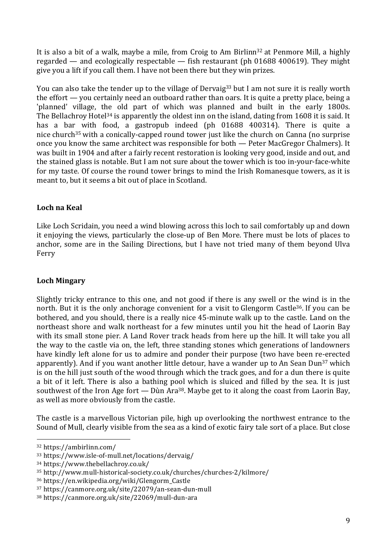It is also a bit of a walk, maybe a mile, from Croig to Am Birlinn<sup>32</sup> at Penmore Mill, a highly regarded — and ecologically respectable — fish restaurant (ph 01688 400619). They might give you a lift if you call them. I have not been there but they win prizes.

You can also take the tender up to the village of Dervaig<sup>33</sup> but I am not sure it is really worth the effort — you certainly need an outboard rather than oars. It is quite a pretty place, being a 'planned' village, the old part of which was planned and built in the early 1800s. The Bellachroy Hotel<sup>34</sup> is apparently the oldest inn on the island, dating from 1608 it is said. It has a bar with food, a gastropub indeed (ph 01688 400314). There is quite a nice church<sup>35</sup> with a conically-capped round tower just like the church on Canna (no surprise once you know the same architect was responsible for both — Peter MacGregor Chalmers). It was built in 1904 and after a fairly recent restoration is looking very good, inside and out, and the stained glass is notable. But I am not sure about the tower which is too in-your-face-white for my taste. Of course the round tower brings to mind the Irish Romanesque towers, as it is meant to, but it seems a bit out of place in Scotland.

# **Loch na Keal**

Like Loch Scridain, you need a wind blowing across this loch to sail comfortably up and down it enjoying the views, particularly the close-up of Ben More. There must be lots of places to anchor, some are in the Sailing Directions, but I have not tried many of them beyond Ulva Ferry

# **Loch Mingary**

Slightly tricky entrance to this one, and not good if there is any swell or the wind is in the north. But it is the only anchorage convenient for a visit to Glengorm Castle<sup>36</sup>. If you can be bothered, and you should, there is a really nice 45-minute walk up to the castle. Land on the northeast shore and walk northeast for a few minutes until you hit the head of Laorin Bay with its small stone pier. A Land Rover track heads from here up the hill. It will take you all the way to the castle via on, the left, three standing stones which generations of landowners have kindly left alone for us to admire and ponder their purpose (two have been re-erected apparently). And if you want another little detour, have a wander up to An Sean Dun<sup>37</sup> which is on the hill just south of the wood through which the track goes, and for a dun there is quite a bit of it left. There is also a bathing pool which is sluiced and filled by the sea. It is just southwest of the Iron Age fort  $-$  Dùn Ara<sup>38</sup>. Maybe get to it along the coast from Laorin Bay, as well as more obviously from the castle.

The castle is a marvellous Victorian pile, high up overlooking the northwest entrance to the Sound of Mull, clearly visible from the sea as a kind of exotic fairy tale sort of a place. But close

<sup>32</sup> https://ambirlinn.com/

<sup>33</sup> https://www.isle-of-mull.net/locations/dervaig/

<sup>34</sup> https://www.thebellachroy.co.uk/

<sup>35</sup> http://www.mull-historical-society.co.uk/churches/churches-2/kilmore/

<sup>36</sup> https://en.wikipedia.org/wiki/Glengorm\_Castle

<sup>37</sup> https://canmore.org.uk/site/22079/an-sean-dun-mull

<sup>38</sup> https://canmore.org.uk/site/22069/mull-dun-ara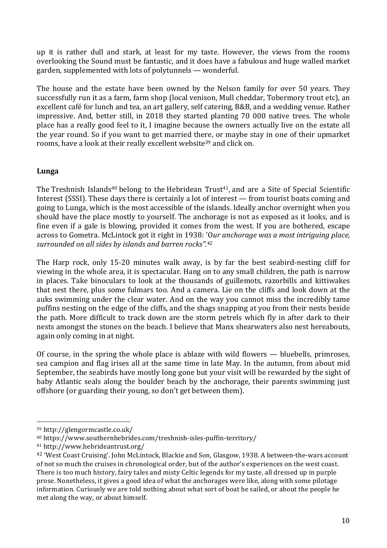up it is rather dull and stark, at least for my taste. However, the views from the rooms overlooking the Sound must be fantastic, and it does have a fabulous and huge walled market garden, supplemented with lots of polytunnels — wonderful.

The house and the estate have been owned by the Nelson family for over 50 years. They successfully run it as a farm, farm shop (local venison, Mull cheddar, Tobermory trout etc), an excellent café for lunch and tea, an art gallery, self catering, B&B, and a wedding venue. Rather impressive. And, better still, in 2018 they started planting 70 000 native trees. The whole place has a really good feel to it, I imagine because the owners actually live on the estate all the year round. So if you want to get married there, or maybe stay in one of their upmarket rooms, have a look at their really excellent website<sup>39</sup> and click on.

#### **Lunga**

The Treshnish Islands<sup>40</sup> belong to the Hebridean Trust<sup>41</sup>, and are a Site of Special Scientific Interest (SSSI). These days there is certainly a lot of interest — from tourist boats coming and going to Lunga, which is the most accessible of the islands. Ideally anchor overnight when you should have the place mostly to yourself. The anchorage is not as exposed as it looks, and is fine even if a gale is blowing, provided it comes from the west. If you are bothered, escape across to Gometra. McLintock got it right in 1938: 'O*ur anchorage was a most intriguing place, surrounded on all sides by islands and barren rocks". 42*

The Harp rock, only 15-20 minutes walk away, is by far the best seabird-nesting cliff for viewing in the whole area, it is spectacular. Hang on to any small children, the path is narrow in places. Take binoculars to look at the thousands of guillemots, razorbills and kittiwakes that nest there, plus some fulmars too. And a camera. Lie on the cliffs and look down at the auks swimming under the clear water. And on the way you cannot miss the incredibly tame puffins nesting on the edge of the cliffs, and the shags snapping at you from their nests beside the path. More difficult to track down are the storm petrels which fly in after dark to their nests amongst the stones on the beach. I believe that Manx shearwaters also nest hereabouts, again only coming in at night.

Of course, in the spring the whole place is ablaze with wild flowers — bluebells, primroses, sea campion and flag irises all at the same time in late May. In the autumn, from about mid September, the seabirds have mostly long gone but your visit will be rewarded by the sight of baby Atlantic seals along the boulder beach by the anchorage, their parents swimming just offshore (or guarding their young, so don't get between them).

 <sup>39</sup> http://glengormcastle.co.uk/

<sup>40</sup> https://www.southernhebrides.com/treshnish-isles-puffin-territory/

<sup>41</sup> http://www.hebrideantrust.org/

<sup>42</sup> 'West Coast Cruising'. John McLintock, Blackie and Son, Glasgow, 1938. A between-the-wars account of not so much the cruises in chronological order, but of the author's experiences on the west coast. There is too much history, fairy tales and misty Celtic legends for my taste, all dressed up in purple prose. Nonetheless, it gives a good idea of what the anchorages were like, along with some pilotage information. Curiously we are told nothing about what sort of boat he sailed, or about the people he met along the way, or about himself.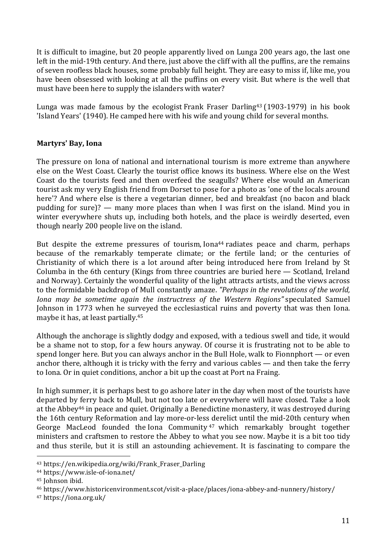It is difficult to imagine, but 20 people apparently lived on Lunga 200 years ago, the last one left in the mid-19th century. And there, just above the cliff with all the puffins, are the remains of seven roofless black houses, some probably full height. They are easy to miss if, like me, you have been obsessed with looking at all the puffins on every visit. But where is the well that must have been here to supply the islanders with water?

Lunga was made famous by the ecologist Frank Fraser Darling43 (1903-1979) in his book 'Island Years' (1940). He camped here with his wife and young child for several months.

#### **Martyrs' Bay, Iona**

The pressure on Iona of national and international tourism is more extreme than anywhere else on the West Coast. Clearly the tourist office knows its business. Where else on the West Coast do the tourists feed and then overfeed the seagulls? Where else would an American tourist ask my very English friend from Dorset to pose for a photo as 'one of the locals around here'? And where else is there a vegetarian dinner, bed and breakfast (no bacon and black pudding for sure)? — many more places than when I was first on the island. Mind you in winter everywhere shuts up, including both hotels, and the place is weirdly deserted, even though nearly 200 people live on the island.

But despite the extreme pressures of tourism, Iona<sup>44</sup> radiates peace and charm, perhaps because of the remarkably temperate climate; or the fertile land; or the centuries of Christianity of which there is a lot around after being introduced here from Ireland by St Columba in the 6th century (Kings from three countries are buried here — Scotland, Ireland and Norway). Certainly the wonderful quality of the light attracts artists, and the views across to the formidable backdrop of Mull constantly amaze. *"Perhaps in the revolutions of the world, Iona may be sometime again the instructress of the Western Regions"* speculated Samuel Johnson in 1773 when he surveyed the ecclesiastical ruins and poverty that was then Iona. maybe it has, at least partially.45

Although the anchorage is slightly dodgy and exposed, with a tedious swell and tide, it would be a shame not to stop, for a few hours anyway. Of course it is frustrating not to be able to spend longer here. But you can always anchor in the Bull Hole, walk to Fionnphort — or even anchor there, although it is tricky with the ferry and various cables — and then take the ferry to Iona. Or in quiet conditions, anchor a bit up the coast at Port na Fraing.

In high summer, it is perhaps best to go ashore later in the day when most of the tourists have departed by ferry back to Mull, but not too late or everywhere will have closed. Take a look at the Abbey46 in peace and quiet. Originally a Benedictine monastery, it was destroyed during the 16th century Reformation and lay more-or-less derelict until the mid-20th century when George MacLeod founded the Iona Community<sup>47</sup> which remarkably brought together ministers and craftsmen to restore the Abbey to what you see now. Maybe it is a bit too tidy and thus sterile, but it is still an astounding achievement. It is fascinating to compare the

<sup>43</sup> https://en.wikipedia.org/wiki/Frank\_Fraser\_Darling

<sup>44</sup> https://www.isle-of-iona.net/

<sup>45</sup> Johnson ibid.

<sup>46</sup> https://www.historicenvironment.scot/visit-a-place/places/iona-abbey-and-nunnery/history/

<sup>47</sup> https://iona.org.uk/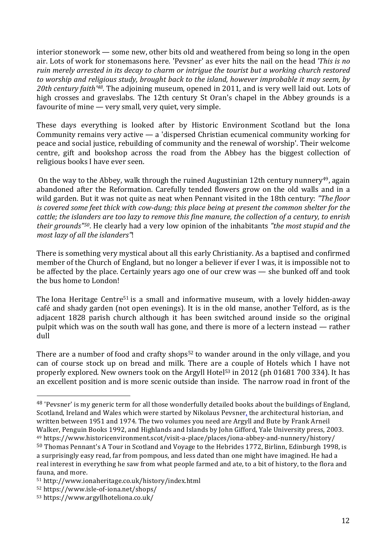interior stonework — some new, other bits old and weathered from being so long in the open air. Lots of work for stonemasons here. 'Pevsner' as ever hits the nail on the head *'This is no ruin merely arrested in its decay to charm or intrigue the tourist but a working church restored to worship and religious study, brought back to the island, however improbable it may seem, by 20th century faith'48*. The adjoining museum, opened in 2011, and is very well laid out. Lots of high crosses and graveslabs. The 12th century St Oran's chapel in the Abbey grounds is a favourite of mine — very small, very quiet, very simple.

These days everything is looked after by Historic Environment Scotland but the Iona Community remains very active — a 'dispersed Christian ecumenical community working for peace and social justice, rebuilding of community and the renewal of worship'. Their welcome centre, gift and bookshop across the road from the Abbey has the biggest collection of religious books I have ever seen.

On the way to the Abbey, walk through the ruined Augustinian 12th century nunnery<sup>49</sup>, again abandoned after the Reformation. Carefully tended flowers grow on the old walls and in a wild garden. But it was not quite as neat when Pennant visited in the 18th century: *"The floor is covered some feet thick with cow-dung; this place being at present the common shelter for the* cattle; the islanders are too lazy to remove this fine manure, the collection of a century, to enrish *their grounds"50*. He clearly had a very low opinion of the inhabitants *"the most stupid and the most lazy of all the islanders"*!

There is something very mystical about all this early Christianity. As a baptised and confirmed member of the Church of England, but no longer a believer if ever I was, it is impossible not to be affected by the place. Certainly years ago one of our crew was — she bunked off and took the bus home to London!

The Iona Heritage Centre<sup>51</sup> is a small and informative museum, with a lovely hidden-away café and shady garden (not open evenings). It is in the old manse, another Telford, as is the adjacent 1828 parish church although it has been switched around inside so the original pulpit which was on the south wall has gone, and there is more of a lectern instead — rather dull

There are a number of food and crafty shops<sup>52</sup> to wander around in the only village, and you can of course stock up on bread and milk. There are a couple of Hotels which I have not properly explored. New owners took on the Argyll Hotel<sup>53</sup> in 2012 (ph 01681 700 334). It has an excellent position and is more scenic outside than inside. The narrow road in front of the

<sup>48</sup> 'Pevsner' is my generic term for all those wonderfully detailed books about the buildings of England, Scotland, Ireland and Wales which were started by Nikolaus Pevsner, the architectural historian, and written between 1951 and 1974. The two volumes you need are Argyll and Bute by Frank Arneil Walker, Penguin Books 1992, and Highlands and Islands by John Gifford, Yale University press, 2003. <sup>49</sup> https://www.historicenvironment.scot/visit-a-place/places/iona-abbey-and-nunnery/history/

<sup>50</sup> Thomas Pennant's A Tour in Scotland and Voyage to the Hebrides 1772, Birlinn, Edinburgh 1998, is a surprisingly easy read, far from pompous, and less dated than one might have imagined. He had a real interest in everything he saw from what people farmed and ate, to a bit of history, to the flora and fauna, and more.

<sup>51</sup> http://www.ionaheritage.co.uk/history/index.html

<sup>52</sup> https://www.isle-of-iona.net/shops/

<sup>53</sup> https://www.argyllhoteliona.co.uk/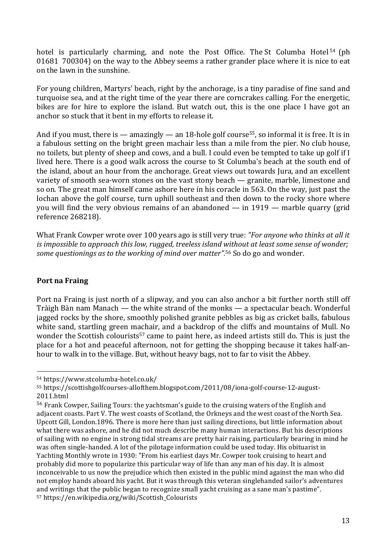hotel is particularly charming, and note the Post Office. The St Columba Hotel<sup>54</sup> (ph 01681 700304) on the way to the Abbey seems a rather grander place where it is nice to eat on the lawn in the sunshine.

For young children, Martyrs' beach, right by the anchorage, is a tiny paradise of fine sand and turquoise sea, and at the right time of the year there are corncrakes calling. For the energetic, bikes are for hire to explore the island. But watch out, this is the one place I have got an anchor so stuck that it bent in my efforts to release it.

And if you must, there is — amazingly — an 18-hole golf course<sup>55</sup>, so informal it is free. It is in a fabulous setting on the bright green machair less than a mile from the pier. No club house, no toilets, but plenty of sheep and cows, and a bull. I could even be tempted to take up golf if I lived here. There is a good walk across the course to St Columba's beach at the south end of the island, about an hour from the anchorage. Great views out towards Jura, and an excellent variety of smooth sea-worn stones on the vast stony beach — granite, marble, limestone and so on. The great man himself came ashore here in his coracle in 563. On the way, just past the lochan above the golf course, turn uphill southeast and then down to the rocky shore where you will find the very obvious remains of an abandoned — in 1919 — marble quarry (grid reference 268218).

What Frank Cowper wrote over 100 years ago is still very true: *"For anyone who thinks at all it is impossible to approach this low, rugged, treeless island without at least some sense of wonder; some questionings as to the working of mind over matter".* <sup>56</sup> So do go and wonder.

# **Port na Fraing**

Port na Fraing is just north of a slipway, and you can also anchor a bit further north still off Tràigh Bàn nam Manach — the white strand of the monks — a spectacular beach. Wonderful jagged rocks by the shore, smoothly polished granite pebbles as big as cricket balls, fabulous white sand, startling green machair, and a backdrop of the cliffs and mountains of Mull. No wonder the Scottish colourists<sup>57</sup> came to paint here, as indeed artists still do. This is just the place for a hot and peaceful afternoon, not for getting the shopping because it takes half-anhour to walk in to the village. But, without heavy bags, not to far to visit the Abbey.

<sup>54</sup> https://www.stcolumba-hotel.co.uk/

<sup>55</sup> https://scottishgolfcourses-allofthem.blogspot.com/2011/08/iona-golf-course-12-august-2011.html

<sup>&</sup>lt;sup>56</sup> Frank Cowper, Sailing Tours: the vachtsman's guide to the cruising waters of the English and adjacent coasts. Part V. The west coasts of Scotland, the Orkneys and the west coast of the North Sea. Upcott Gill, London.1896. There is more here than just sailing directions, but little information about what there was ashore, and he did not much describe many human interactions. But his descriptions of sailing with no engine in strong tidal streams are pretty hair raising, particularly bearing in mind he was often single-handed. A lot of the pilotage information could be used today. His obituarist in Yachting Monthly wrote in 1930: "From his earliest days Mr. Cowper took cruising to heart and probably did more to popularize this particular way of life than any man of his day. It is almost inconceivable to us now the prejudice which then existed in the public mind against the man who did not employ hands aboard his yacht. But it was through this veteran singlehanded sailor's adventures and writings that the public began to recognize small yacht cruising as a sane man's pastime". <sup>57</sup> https://en.wikipedia.org/wiki/Scottish\_Colourists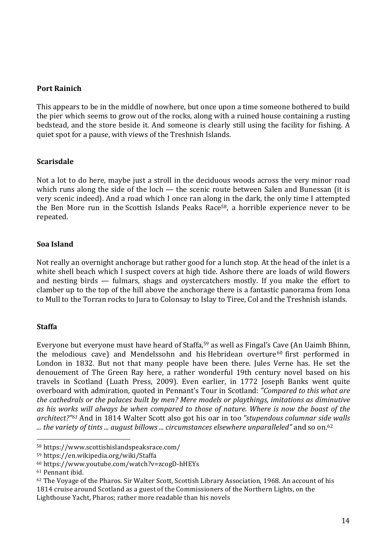#### **Port Rainich**

This appears to be in the middle of nowhere, but once upon a time someone bothered to build the pier which seems to grow out of the rocks, along with a ruined house containing a rusting bedstead, and the store beside it. And someone is clearly still using the facility for fishing. A quiet spot for a pause, with views of the Treshnish Islands.

#### **Scarisdale**

Not a lot to do here, maybe just a stroll in the deciduous woods across the very minor road which runs along the side of the loch — the scenic route between Salen and Bunessan (it is very scenic indeed). And a road which I once ran along in the dark, the only time I attempted the Ben More run in the Scottish Islands Peaks Race<sup>58</sup>, a horrible experience never to be repeated.

#### **Soa Island**

Not really an overnight anchorage but rather good for a lunch stop. At the head of the inlet is a white shell beach which I suspect covers at high tide. Ashore there are loads of wild flowers and nesting birds — fulmars, shags and oystercatchers mostly. If you make the effort to clamber up to the top of the hill above the anchorage there is a fantastic panorama from Iona to Mull to the Torran rocks to Jura to Colonsay to Islay to Tiree, Col and the Treshnish islands.

# **Staffa**

Everyone but everyone must have heard of Staffa,<sup>59</sup> as well as Fingal's Cave (An Uaimh Bhinn, the melodious cave) and Mendelssohn and his Hebridean overture<sup>60</sup> first performed in London in 1832. But not that many people have been there. Jules Verne has. He set the denouement of The Green Ray here, a rather wonderful 19th century novel based on his travels in Scotland (Luath Press, 2009). Even earlier, in 1772 Joseph Banks went quite overboard with admiration, quoted in Pennant's Tour in Scotland: *"Compared to this what are the cathedrals or the palaces built by men? Mere models or playthings, imitations as diminutive as his works will always be when compared to those of nature. Where is now the boast of the architect?"61* And in 1814 Walter Scott also got his oar in too *"stupendous columnar side walls ... the variety of tints ... august billows ... circumstances elsewhere unparalleled"* and so on.62

<sup>58</sup> https://www.scottishislandspeaksrace.com/

<sup>59</sup> https://en.wikipedia.org/wiki/Staffa

<sup>60</sup> https://www.youtube.com/watch?v=zcogD-hHEYs

<sup>&</sup>lt;sup>61</sup> Pennant ibid.

<sup>62</sup> The Voyage of the Pharos. Sir Walter Scott, Scottish Library Association, 1968. An account of his 1814 cruise around Scotland as a guest of the Commissioners of the Northern Lights, on the Lighthouse Yacht, Pharos; rather more readable than his novels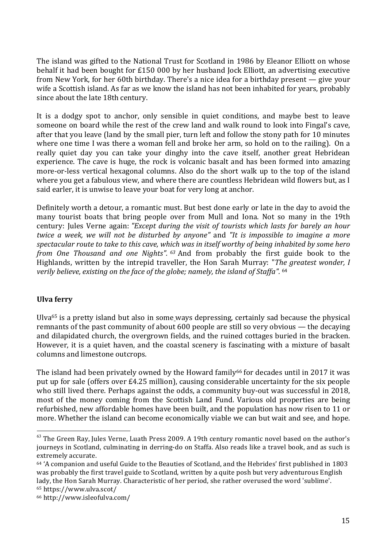The island was gifted to the National Trust for Scotland in 1986 by Eleanor Elliott on whose behalf it had been bought for £150 000 by her husband Jock Elliott, an advertising executive from New York, for her 60th birthday. There's a nice idea for a birthday present — give your wife a Scottish island. As far as we know the island has not been inhabited for years, probably since about the late 18th century.

It is a dodgy spot to anchor, only sensible in quiet conditions, and maybe best to leave someone on board while the rest of the crew land and walk round to look into Fingal's cave, after that you leave (land by the small pier, turn left and follow the stony path for 10 minutes where one time I was there a woman fell and broke her arm, so hold on to the railing). On a really quiet day you can take your dinghy into the cave itself, another great Hebridean experience. The cave is huge, the rock is volcanic basalt and has been formed into amazing more-or-less vertical hexagonal columns. Also do the short walk up to the top of the island where you get a fabulous view, and where there are countless Hebridean wild flowers but, as I said earler, it is unwise to leave your boat for very long at anchor.

Definitely worth a detour, a romantic must. But best done early or late in the day to avoid the many tourist boats that bring people over from Mull and Iona. Not so many in the 19th century: Jules Verne again: *"Except during the visit of tourists which lasts for barely an hour twice a week, we will not be disturbed by anyone"* and *"It is impossible to imagine a more spectacular route to take to this cave, which was in itself worthy of being inhabited by some hero from One Thousand and one Nights". <sup>63</sup>* And from probably the first guide book to the Highlands, written by the intrepid traveller, the Hon Sarah Murray: "*The greatest wonder, I verily believe, existing on the face of the globe; namely, the island of Staffa".* <sup>64</sup>

# **Ulva ferry**

Ulva65 is a pretty island but also in some ways depressing, certainly sad because the physical remnants of the past community of about 600 people are still so very obvious — the decaying and dilapidated church, the overgrown fields, and the ruined cottages buried in the bracken. However, it is a quiet haven, and the coastal scenery is fascinating with a mixture of basalt columns and limestone outcrops.

The island had been privately owned by the Howard family<sup>66</sup> for decades until in 2017 it was put up for sale (offers over £4.25 million), causing considerable uncertainty for the six people who still lived there. Perhaps against the odds, a community buy-out was successful in 2018, most of the money coming from the Scottish Land Fund. Various old properties are being refurbished, new affordable homes have been built, and the population has now risen to 11 or more. Whether the island can become economically viable we can but wait and see, and hope.

<sup>&</sup>lt;sup>63</sup> The Green Ray, Jules Verne, Luath Press 2009. A 19th century romantic novel based on the author's journeys in Scotland, culminating in derring-do on Staffa. Also reads like a travel book, and as such is extremely accurate.

<sup>64</sup> 'A companion and useful Guide to the Beauties of Scotland, and the Hebrides' first published in 1803 was probably the first travel guide to Scotland, written by a quite posh but very adventurous English lady, the Hon Sarah Murray. Characteristic of her period, she rather overused the word 'sublime'. <sup>65</sup> https://www.ulva.scot/

<sup>66</sup> http://www.isleofulva.com/